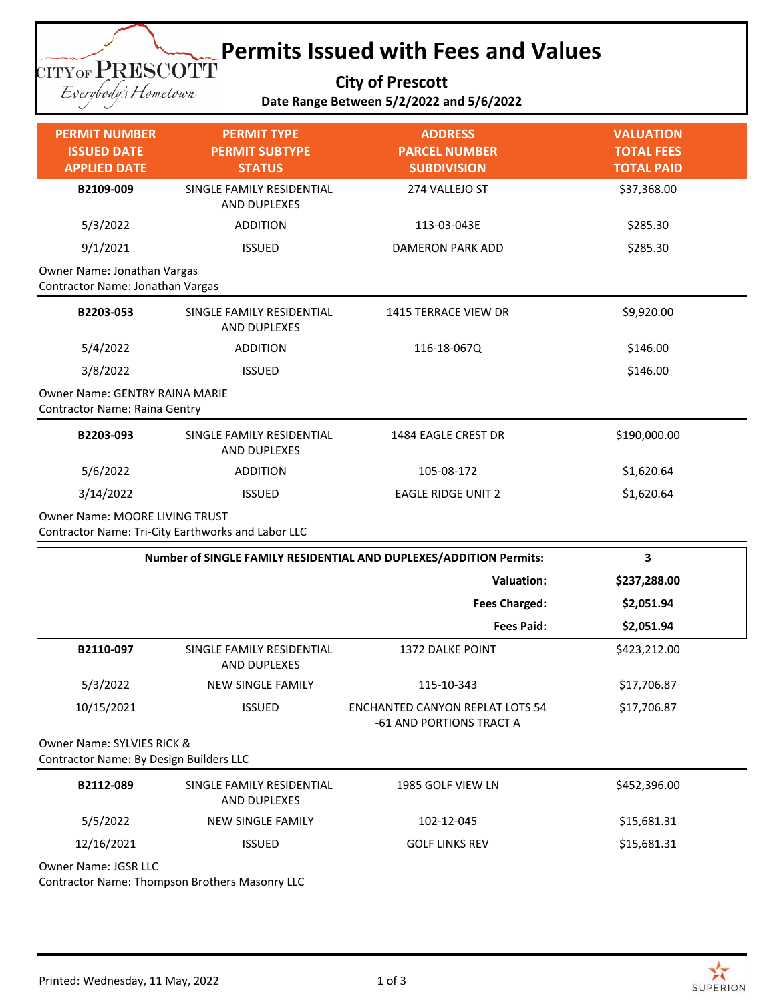## **Permits Issued with Fees and Values TITYOF PRESCOTT**

**City of Prescott**

Eserybody's Hometown

|  | ---, -- - ------                         |  |
|--|------------------------------------------|--|
|  | Date Range Between 5/2/2022 and 5/6/2022 |  |

| <b>PERMIT NUMBER</b>                                                   | <b>PERMIT TYPE</b>                                 | <b>ADDRESS</b>                                                     | <b>VALUATION</b>                       |  |
|------------------------------------------------------------------------|----------------------------------------------------|--------------------------------------------------------------------|----------------------------------------|--|
| <b>ISSUED DATE</b><br><b>APPLIED DATE</b>                              | <b>PERMIT SUBTYPE</b><br><b>STATUS</b>             | <b>PARCEL NUMBER</b><br><b>SUBDIVISION</b>                         | <b>TOTAL FEES</b><br><b>TOTAL PAID</b> |  |
| B2109-009                                                              | SINGLE FAMILY RESIDENTIAL<br>AND DUPLEXES          | 274 VALLEJO ST                                                     | \$37,368.00                            |  |
| 5/3/2022                                                               | <b>ADDITION</b>                                    | 113-03-043E                                                        | \$285.30                               |  |
| 9/1/2021                                                               | <b>ISSUED</b>                                      | <b>DAMERON PARK ADD</b>                                            | \$285.30                               |  |
| Owner Name: Jonathan Vargas<br>Contractor Name: Jonathan Vargas        |                                                    |                                                                    |                                        |  |
| B2203-053                                                              | SINGLE FAMILY RESIDENTIAL<br>AND DUPLEXES          | 1415 TERRACE VIEW DR                                               | \$9,920.00                             |  |
| 5/4/2022                                                               | <b>ADDITION</b>                                    | 116-18-067Q                                                        | \$146.00                               |  |
| 3/8/2022                                                               | <b>ISSUED</b>                                      |                                                                    | \$146.00                               |  |
| <b>Owner Name: GENTRY RAINA MARIE</b><br>Contractor Name: Raina Gentry |                                                    |                                                                    |                                        |  |
| B2203-093                                                              | SINGLE FAMILY RESIDENTIAL<br>AND DUPLEXES          | 1484 EAGLE CREST DR                                                | \$190,000.00                           |  |
| 5/6/2022                                                               | <b>ADDITION</b>                                    | 105-08-172                                                         | \$1,620.64                             |  |
| 3/14/2022                                                              | <b>ISSUED</b>                                      | <b>EAGLE RIDGE UNIT 2</b>                                          | \$1,620.64                             |  |
| <b>Owner Name: MOORE LIVING TRUST</b>                                  | Contractor Name: Tri-City Earthworks and Labor LLC |                                                                    |                                        |  |
|                                                                        |                                                    | Number of SINGLE FAMILY RESIDENTIAL AND DUPLEXES/ADDITION Permits: | 3                                      |  |
|                                                                        |                                                    | <b>Valuation:</b>                                                  | \$237,288.00                           |  |
|                                                                        |                                                    | <b>Fees Charged:</b>                                               | \$2,051.94                             |  |
|                                                                        |                                                    | <b>Fees Paid:</b>                                                  | \$2,051.94                             |  |
| B2110-097                                                              | SINGLE FAMILY RESIDENTIAL<br>AND DUPLEXES          | <b>1372 DALKE POINT</b>                                            | \$423,212.00                           |  |
| 5/3/2022                                                               | NEW SINGLE FAMILY                                  | 115-10-343                                                         | \$17,706.87                            |  |
| 10/15/2021                                                             | <b>ISSUED</b>                                      | <b>ENCHANTED CANYON REPLAT LOTS 54</b><br>-61 AND PORTIONS TRACT A | \$17,706.87                            |  |
| Owner Name: SYLVIES RICK &<br>Contractor Name: By Design Builders LLC  |                                                    |                                                                    |                                        |  |
| B2112-089                                                              | SINGLE FAMILY RESIDENTIAL<br>AND DUPLEXES          | 1985 GOLF VIEW LN                                                  | \$452,396.00                           |  |
| 5/5/2022                                                               | NEW SINGLE FAMILY                                  | 102-12-045                                                         | \$15,681.31                            |  |
| 12/16/2021                                                             | <b>ISSUED</b>                                      | <b>GOLF LINKS REV</b>                                              | \$15,681.31                            |  |
|                                                                        |                                                    |                                                                    |                                        |  |

Owner Name: JGSR LLC

Contractor Name: Thompson Brothers Masonry LLC

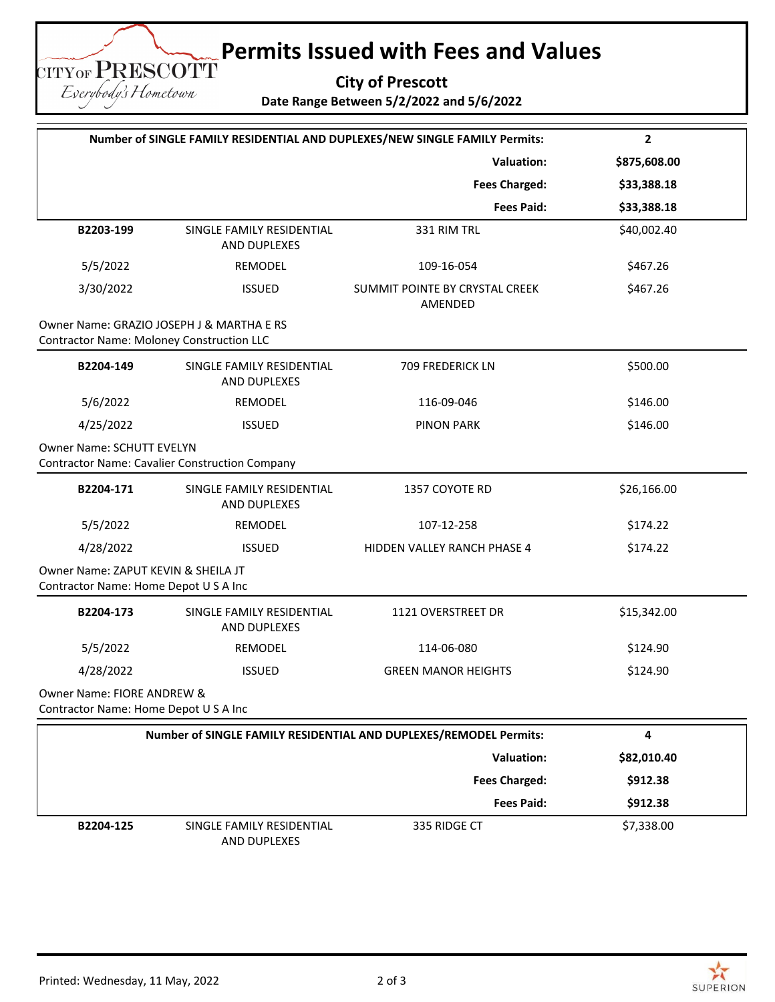## **Permits Issued with Fees and Values**

**City of Prescott Date Range Between 5/2/2022 and 5/6/2022**

| Number of SINGLE FAMILY RESIDENTIAL AND DUPLEXES/NEW SINGLE FAMILY Permits:  |                                                       |                                           | $\mathbf{2}$ |  |
|------------------------------------------------------------------------------|-------------------------------------------------------|-------------------------------------------|--------------|--|
|                                                                              |                                                       | <b>Valuation:</b>                         | \$875,608.00 |  |
|                                                                              |                                                       | <b>Fees Charged:</b>                      | \$33,388.18  |  |
|                                                                              |                                                       | <b>Fees Paid:</b>                         | \$33,388.18  |  |
| B2203-199                                                                    | SINGLE FAMILY RESIDENTIAL<br>AND DUPLEXES             | 331 RIM TRL                               | \$40,002.40  |  |
| 5/5/2022                                                                     | REMODEL                                               | 109-16-054                                | \$467.26     |  |
| 3/30/2022                                                                    | <b>ISSUED</b>                                         | SUMMIT POINTE BY CRYSTAL CREEK<br>AMENDED | \$467.26     |  |
| <b>Contractor Name: Moloney Construction LLC</b>                             | Owner Name: GRAZIO JOSEPH J & MARTHA E RS             |                                           |              |  |
| B2204-149                                                                    | SINGLE FAMILY RESIDENTIAL<br>AND DUPLEXES             | 709 FREDERICK LN                          | \$500.00     |  |
| 5/6/2022                                                                     | REMODEL                                               | 116-09-046                                | \$146.00     |  |
| 4/25/2022                                                                    | <b>ISSUED</b>                                         | <b>PINON PARK</b>                         | \$146.00     |  |
| Owner Name: SCHUTT EVELYN                                                    | <b>Contractor Name: Cavalier Construction Company</b> |                                           |              |  |
| B2204-171                                                                    | SINGLE FAMILY RESIDENTIAL<br>AND DUPLEXES             | 1357 COYOTE RD                            | \$26,166.00  |  |
| 5/5/2022                                                                     | REMODEL                                               | 107-12-258                                | \$174.22     |  |
| 4/28/2022                                                                    | <b>ISSUED</b>                                         | HIDDEN VALLEY RANCH PHASE 4               | \$174.22     |  |
| Owner Name: ZAPUT KEVIN & SHEILA JT<br>Contractor Name: Home Depot U S A Inc |                                                       |                                           |              |  |
| B2204-173                                                                    | SINGLE FAMILY RESIDENTIAL<br>AND DUPLEXES             | 1121 OVERSTREET DR                        | \$15,342.00  |  |
| 5/5/2022                                                                     | REMODEL                                               | 114-06-080                                | \$124.90     |  |
| 4/28/2022                                                                    | <b>ISSUED</b>                                         | <b>GREEN MANOR HEIGHTS</b>                | \$124.90     |  |
| Owner Name: FIORE ANDREW &<br>Contractor Name: Home Depot U S A Inc          |                                                       |                                           |              |  |
| Number of SINGLE FAMILY RESIDENTIAL AND DUPLEXES/REMODEL Permits:            |                                                       |                                           | 4            |  |
|                                                                              |                                                       | <b>Valuation:</b>                         | \$82,010.40  |  |
|                                                                              |                                                       | <b>Fees Charged:</b>                      | \$912.38     |  |
|                                                                              |                                                       | <b>Fees Paid:</b>                         | \$912.38     |  |

**TITYOF PRESCOTT** Eserybody's Hometown

> **B2204-125** SINGLE FAMILY RESIDENTIAL AND DUPLEXES